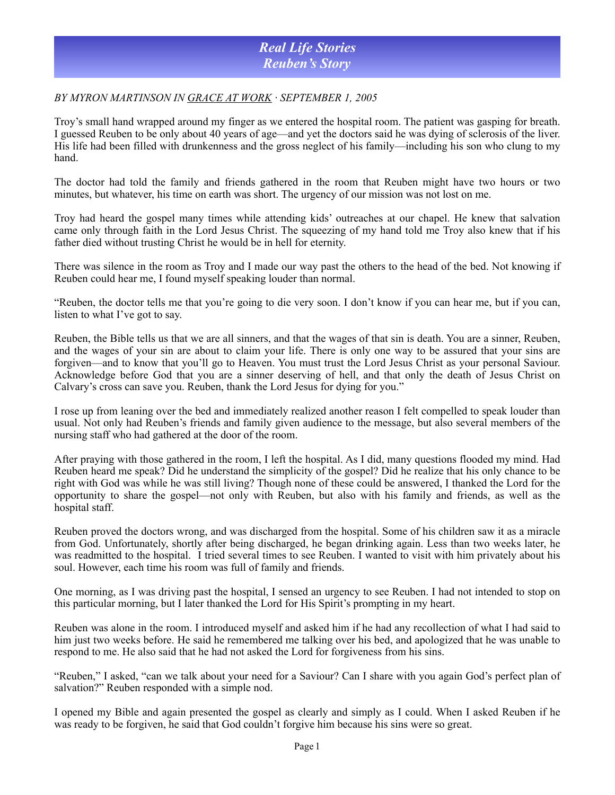## *Real Life Stories Reuben's Story*

### *BY MYRON MARTINSON IN [GRACE AT WORK](http://www.uplook.org/grace-at-work/) · SEPTEMBER 1, 2005*

Troy's small hand wrapped around my finger as we entered the hospital room. The patient was gasping for breath. I guessed Reuben to be only about 40 years of age—and yet the doctors said he was dying of sclerosis of the liver. His life had been filled with drunkenness and the gross neglect of his family—including his son who clung to my hand.

The doctor had told the family and friends gathered in the room that Reuben might have two hours or two minutes, but whatever, his time on earth was short. The urgency of our mission was not lost on me.

Troy had heard the gospel many times while attending kids' outreaches at our chapel. He knew that salvation came only through faith in the Lord Jesus Christ. The squeezing of my hand told me Troy also knew that if his father died without trusting Christ he would be in hell for eternity.

There was silence in the room as Troy and I made our way past the others to the head of the bed. Not knowing if Reuben could hear me, I found myself speaking louder than normal.

"Reuben, the doctor tells me that you're going to die very soon. I don't know if you can hear me, but if you can, listen to what I've got to say.

Reuben, the Bible tells us that we are all sinners, and that the wages of that sin is death. You are a sinner, Reuben, and the wages of your sin are about to claim your life. There is only one way to be assured that your sins are forgiven—and to know that you'll go to Heaven. You must trust the Lord Jesus Christ as your personal Saviour. Acknowledge before God that you are a sinner deserving of hell, and that only the death of Jesus Christ on Calvary's cross can save you. Reuben, thank the Lord Jesus for dying for you."

I rose up from leaning over the bed and immediately realized another reason I felt compelled to speak louder than usual. Not only had Reuben's friends and family given audience to the message, but also several members of the nursing staff who had gathered at the door of the room.

After praying with those gathered in the room, I left the hospital. As I did, many questions flooded my mind. Had Reuben heard me speak? Did he understand the simplicity of the gospel? Did he realize that his only chance to be right with God was while he was still living? Though none of these could be answered, I thanked the Lord for the opportunity to share the gospel—not only with Reuben, but also with his family and friends, as well as the hospital staff.

Reuben proved the doctors wrong, and was discharged from the hospital. Some of his children saw it as a miracle from God. Unfortunately, shortly after being discharged, he began drinking again. Less than two weeks later, he was readmitted to the hospital. I tried several times to see Reuben. I wanted to visit with him privately about his soul. However, each time his room was full of family and friends.

One morning, as I was driving past the hospital, I sensed an urgency to see Reuben. I had not intended to stop on this particular morning, but I later thanked the Lord for His Spirit's prompting in my heart.

Reuben was alone in the room. I introduced myself and asked him if he had any recollection of what I had said to him just two weeks before. He said he remembered me talking over his bed, and apologized that he was unable to respond to me. He also said that he had not asked the Lord for forgiveness from his sins.

"Reuben," I asked, "can we talk about your need for a Saviour? Can I share with you again God's perfect plan of salvation?" Reuben responded with a simple nod.

I opened my Bible and again presented the gospel as clearly and simply as I could. When I asked Reuben if he was ready to be forgiven, he said that God couldn't forgive him because his sins were so great.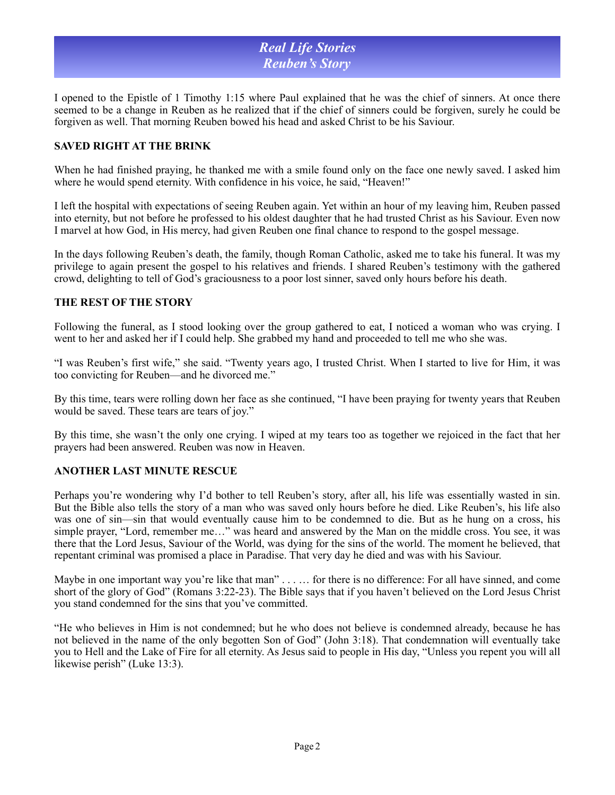# *Real Life Stories Reuben's Story*

I opened to the Epistle of 1 Timothy 1:15 where Paul explained that he was the chief of sinners. At once there seemed to be a change in Reuben as he realized that if the chief of sinners could be forgiven, surely he could be forgiven as well. That morning Reuben bowed his head and asked Christ to be his Saviour.

## **SAVED RIGHT AT THE BRINK**

When he had finished praying, he thanked me with a smile found only on the face one newly saved. I asked him where he would spend eternity. With confidence in his voice, he said, "Heaven!"

I left the hospital with expectations of seeing Reuben again. Yet within an hour of my leaving him, Reuben passed into eternity, but not before he professed to his oldest daughter that he had trusted Christ as his Saviour. Even now I marvel at how God, in His mercy, had given Reuben one final chance to respond to the gospel message.

In the days following Reuben's death, the family, though Roman Catholic, asked me to take his funeral. It was my privilege to again present the gospel to his relatives and friends. I shared Reuben's testimony with the gathered crowd, delighting to tell of God's graciousness to a poor lost sinner, saved only hours before his death.

#### **THE REST OF THE STORY**

Following the funeral, as I stood looking over the group gathered to eat, I noticed a woman who was crying. I went to her and asked her if I could help. She grabbed my hand and proceeded to tell me who she was.

"I was Reuben's first wife," she said. "Twenty years ago, I trusted Christ. When I started to live for Him, it was too convicting for Reuben—and he divorced me."

By this time, tears were rolling down her face as she continued, "I have been praying for twenty years that Reuben would be saved. These tears are tears of joy."

By this time, she wasn't the only one crying. I wiped at my tears too as together we rejoiced in the fact that her prayers had been answered. Reuben was now in Heaven.

### **ANOTHER LAST MINUTE RESCUE**

Perhaps you're wondering why I'd bother to tell Reuben's story, after all, his life was essentially wasted in sin. But the Bible also tells the story of a man who was saved only hours before he died. Like Reuben's, his life also was one of sin—sin that would eventually cause him to be condemned to die. But as he hung on a cross, his simple prayer, "Lord, remember me…" was heard and answered by the Man on the middle cross. You see, it was there that the Lord Jesus, Saviour of the World, was dying for the sins of the world. The moment he believed, that repentant criminal was promised a place in Paradise. That very day he died and was with his Saviour.

Maybe in one important way you're like that man" . . . . . . for there is no difference: For all have sinned, and come short of the glory of God" (Romans 3:22-23). The Bible says that if you haven't believed on the Lord Jesus Christ you stand condemned for the sins that you've committed.

"He who believes in Him is not condemned; but he who does not believe is condemned already, because he has not believed in the name of the only begotten Son of God" (John 3:18). That condemnation will eventually take you to Hell and the Lake of Fire for all eternity. As Jesus said to people in His day, "Unless you repent you will all likewise perish" (Luke 13:3).